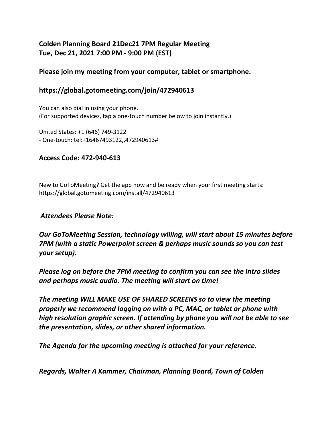### **Colden Planning Board 21Dec21 7PM Regular Meeting Tue, Dec 21, 2021 7:00 PM - 9:00 PM (EST)**

#### **Please join my meeting from your computer, tablet or smartphone.**

#### **https://global.gotomeeting.com/join/472940613**

You can also dial in using your phone. (For supported devices, tap a one-touch number below to join instantly.)

United States: +1 (646) 749-3122 - One-touch: tel:+16467493122,,472940613#

#### **Access Code: 472-940-613**

New to GoToMeeting? Get the app now and be ready when your first meeting starts: https://global.gotomeeting.com/install/472940613

#### *Attendees Please Note:*

*Our GoToMeeting Session, technology willing, will start about 15 minutes before 7PM (with a static Powerpoint screen & perhaps music sounds so you can test your setup).* 

*Please log on before the 7PM meeting to confirm you can see the Intro slides and perhaps music audio. The meeting will start on time!* 

*The meeting WILL MAKE USE OF SHARED SCREENS so to view the meeting properly we recommend logging on with a PC, MAC, or tablet or phone with high resolution graphic screen. If attending by phone you will not be able to see the presentation, slides, or other shared information.* 

*The Agenda for the upcoming meeting is attached for your reference.* 

*Regards, Walter A Kammer, Chairman, Planning Board, Town of Colden*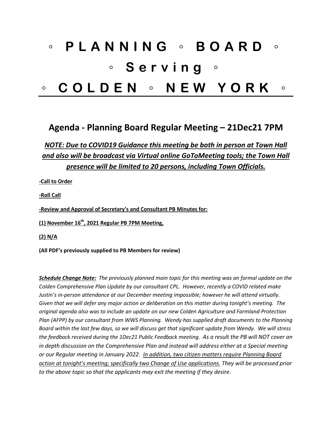# ◦ **PLANNING** ◦ **BOARD** ◦ ◦ **Serving** ◦ ◦ **COLDEN** ◦ **NEW YORK** ◦

## **Agenda - Planning Board Regular Meeting – 21Dec21 7PM**

## *NOTE: Due to COVID19 Guidance this meeting be both in person at Town Hall and also will be broadcast via Virtual online GoToMeeting tools; the Town Hall presence will be limited to 20 persons, including Town Officials.*

**-Call to Order**

**-Roll Call**

**-Review and Approval of Secretary's and Consultant PB Minutes for:**

**(1) November 16th, 2021 Regular PB 7PM Meeting,** 

**(2) N/A**

**(All PDF's previously supplied to PB Members for review)**

*Schedule Change Note: The previously planned main topic for this meeting was an formal update on the Colden Comprehensive Plan Update by our consultant CPL. However, recently a COVID related make Justin's in-person attendance at our December meeting impossible; however he will attend virtually. Given that we will defer any major action or deliberation on this matter during tonight's meeting. The original agenda also was to include an update on our new Colden Agriculture and Farmland Protection Plan (AFPP) by our consultant from WWS Planning. Wendy has supplied draft documents to the Planning Board within the last few days, so we will discuss get that significant update from Wendy. We will stress the feedback received during the 1Dec21 Public Feedback meeting. As a result the PB will NOT cover an in depth discussion on the Comprehensive Plan and instead will address either at a Special meeting or our Regular meeting in January 2022. In addition, two citizen matters require Planning Board action at tonight's meeting; specifically two Change of Use applications. They will be processed prior to the above topic so that the applicants may exit the meeting if they desire.*